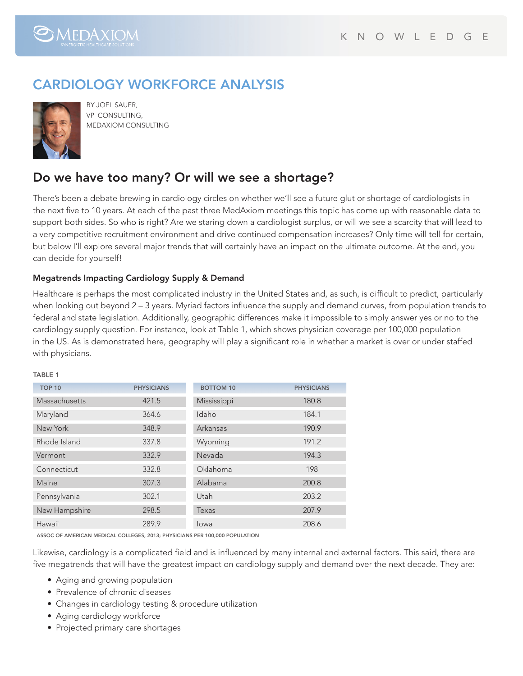

# CARDIOLOGY WORKFORCE ANALYSIS



By Joel Sauer, VP–CONSULTING, MedAxiom Consulting

## Do we have too many? Or will we see a shortage?

There's been a debate brewing in cardiology circles on whether we'll see a future glut or shortage of cardiologists in the next five to 10 years. At each of the past three MedAxiom meetings this topic has come up with reasonable data to support both sides. So who is right? Are we staring down a cardiologist surplus, or will we see a scarcity that will lead to a very competitive recruitment environment and drive continued compensation increases? Only time will tell for certain, but below I'll explore several major trends that will certainly have an impact on the ultimate outcome. At the end, you can decide for yourself!

### Megatrends Impacting Cardiology Supply & Demand

Healthcare is perhaps the most complicated industry in the United States and, as such, is difficult to predict, particularly when looking out beyond 2 – 3 years. Myriad factors influence the supply and demand curves, from population trends to federal and state legislation. Additionally, geographic differences make it impossible to simply answer yes or no to the cardiology supply question. For instance, look at Table 1, which shows physician coverage per 100,000 population in the US. As is demonstrated here, geography will play a significant role in whether a market is over or under staffed with physicians.

#### TARI F 1

| <b>TOP 10</b> | <b>PHYSICIANS</b> | <b>BOTTOM 10</b> | <b>PHYSICIANS</b> |
|---------------|-------------------|------------------|-------------------|
| Massachusetts | 421.5             | Mississippi      | 180.8             |
| Maryland      | 364.6             | Idaho            | 184.1             |
| New York      | 348.9             | Arkansas         | 190.9             |
| Rhode Island  | 337.8             | Wyoming          | 191.2             |
| Vermont       | 332.9             | Nevada           | 194.3             |
| Connecticut   | 332.8             | Oklahoma         | 198               |
| Maine         | 307.3             | Alabama          | 200.8             |
| Pennsylvania  | 302.1             | Utah             | 203.2             |
| New Hampshire | 298.5             | Texas            | 207.9             |
| Hawaii        | 289.9             | lowa             | 208.6             |

Assoc of American Medical Colleges, 2013; physicians per 100,000 population

Likewise, cardiology is a complicated field and is influenced by many internal and external factors. This said, there are five megatrends that will have the greatest impact on cardiology supply and demand over the next decade. They are:

- Aging and growing population
- Prevalence of chronic diseases
- Changes in cardiology testing & procedure utilization
- Aging cardiology workforce
- Projected primary care shortages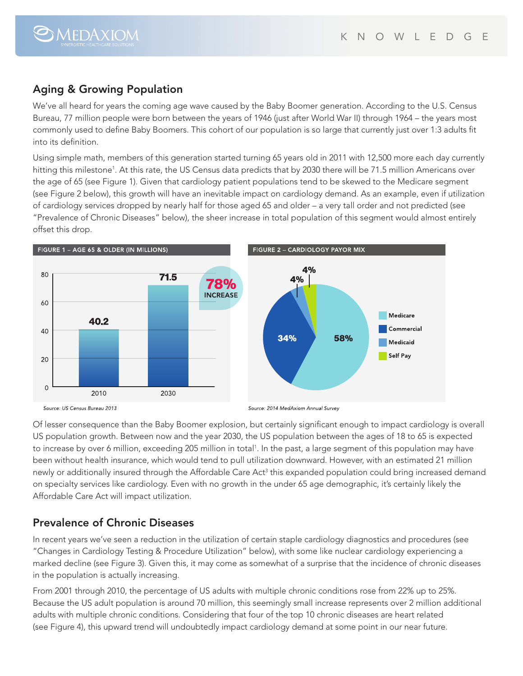### Aging & Growing Population

 $\bigcirc$ MEDAXIOM

We've all heard for years the coming age wave caused by the Baby Boomer generation. According to the U.S. Census Bureau, 77 million people were born between the years of 1946 (just after World War II) through 1964 – the years most commonly used to define Baby Boomers. This cohort of our population is so large that currently just over 1:3 adults fit into its definition.

Using simple math, members of this generation started turning 65 years old in 2011 with 12,500 more each day currently hitting this milestone<sup>1</sup>. At this rate, the US Census data predicts that by 2030 there will be 71.5 million Americans over the age of 65 (see Figure 1). Given that cardiology patient populations tend to be skewed to the Medicare segment (see Figure 2 below), this growth will have an inevitable impact on cardiology demand. As an example, even if utilization of cardiology services dropped by nearly half for those aged 65 and older – a very tall order and not predicted (see "Prevalence of Chronic Diseases" below), the sheer increase in total population of this segment would almost entirely offset this drop.



Of lesser consequence than the Baby Boomer explosion, but certainly significant enough to impact cardiology is overall US population growth. Between now and the year 2030, the US population between the ages of 18 to 65 is expected to increase by over 6 million, exceeding 205 million in total<sup>1</sup>. In the past, a large segment of this population may have been without health insurance, which would tend to pull utilization downward. However, with an estimated 21 million newly or additionally insured through the Affordable Care Act<sup>3</sup> this expanded population could bring increased demand on specialty services like cardiology. Even with no growth in the under 65 age demographic, it's certainly likely the Affordable Care Act will impact utilization.

### Prevalence of Chronic Diseases

In recent years we've seen a reduction in the utilization of certain staple cardiology diagnostics and procedures (see "Changes in Cardiology Testing & Procedure Utilization" below), with some like nuclear cardiology experiencing a marked decline (see Figure 3). Given this, it may come as somewhat of a surprise that the incidence of chronic diseases in the population is actually increasing.

From 2001 through 2010, the percentage of US adults with multiple chronic conditions rose from 22% up to 25%. Because the US adult population is around 70 million, this seemingly small increase represents over 2 million additional adults with multiple chronic conditions. Considering that four of the top 10 chronic diseases are heart related (see Figure 4), this upward trend will undoubtedly impact cardiology demand at some point in our near future.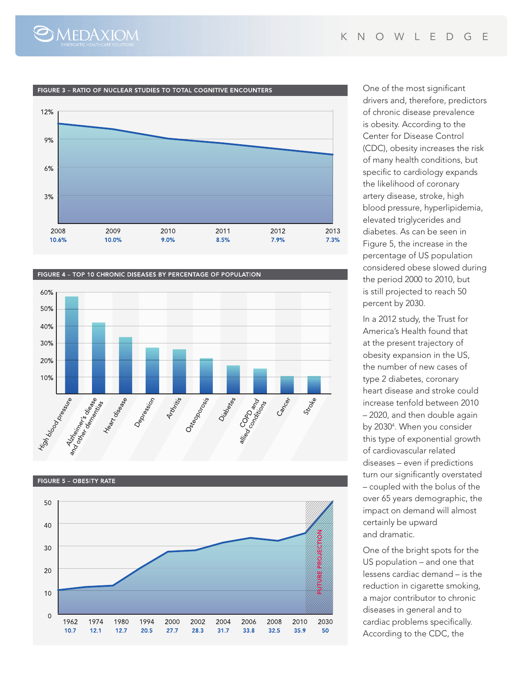#### FIGURE 3 - RATIO OF NUCLEAR STUDIES TO TOTAL COGNITIVE ENCOUNTERS

 $\bigcirc$ MEDAXIOM











One of the most significant drivers and, therefore, predictors of chronic disease prevalence is obesity. According to the Center for Disease Control (CDC), obesity increases the risk of many health conditions, but specific to cardiology expands the likelihood of coronary artery disease, stroke, high blood pressure, hyperlipidemia, elevated triglycerides and diabetes. As can be seen in Figure 5, the increase in the percentage of US population considered obese slowed during the period 2000 to 2010, but is still projected to reach 50 percent by 2030.

In a 2012 study, the Trust for America's Health found that at the present trajectory of obesity expansion in the US, the number of new cases of type 2 diabetes, coronary heart disease and stroke could increase tenfold between 2010 – 2020, and then double again by 20304 . When you consider this type of exponential growth of cardiovascular related diseases – even if predictions turn our significantly overstated – coupled with the bolus of the over 65 years demographic, the impact on demand will almost certainly be upward and dramatic.

One of the bright spots for the US population – and one that lessens cardiac demand – is the reduction in cigarette smoking, a major contributor to chronic diseases in general and to cardiac problems specifically. According to the CDC, the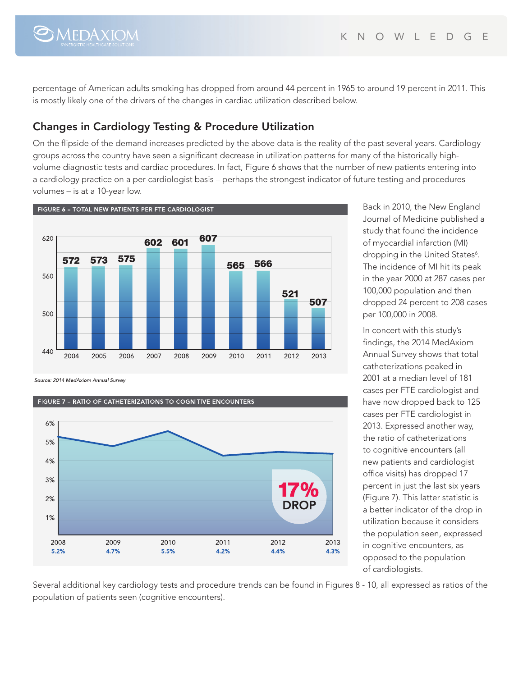

percentage of American adults smoking has dropped from around 44 percent in 1965 to around 19 percent in 2011. This is mostly likely one of the drivers of the changes in cardiac utilization described below.

### Changes in Cardiology Testing & Procedure Utilization

On the flipside of the demand increases predicted by the above data is the reality of the past several years. Cardiology groups across the country have seen a significant decrease in utilization patterns for many of the historically highvolume diagnostic tests and cardiac procedures. In fact, Figure 6 shows that the number of new patients entering into a cardiology practice on a per-cardiologist basis – perhaps the strongest indicator of future testing and procedures volumes – is at a 10-year low.



Source: 2014 MedAxiom Annual Survey

#### FIGURE 7 - RATIO OF CATHETERIZATIONS TO COGNITIVE ENCOUNTERS



Back in 2010, the New England Journal of Medicine published a study that found the incidence of myocardial infarction (MI) dropping in the United States<sup>6</sup>. The incidence of MI hit its peak in the year 2000 at 287 cases per 100,000 population and then dropped 24 percent to 208 cases per 100,000 in 2008.

In concert with this study's findings, the 2014 MedAxiom Annual Survey shows that total catheterizations peaked in 2001 at a median level of 181 cases per FTE cardiologist and have now dropped back to 125 cases per FTE cardiologist in 2013. Expressed another way, the ratio of catheterizations to cognitive encounters (all new patients and cardiologist office visits) has dropped 17 percent in just the last six years (Figure 7). This latter statistic is a better indicator of the drop in utilization because it considers the population seen, expressed in cognitive encounters, as opposed to the population of cardiologists.

Several additional key cardiology tests and procedure trends can be found in Figures 8 - 10, all expressed as ratios of the population of patients seen (cognitive encounters).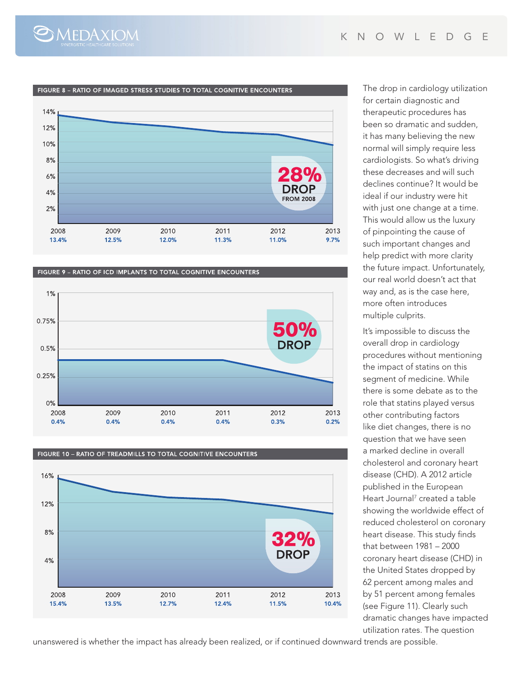

#### FIGURE 8 - RATIO OF IMAGED STRESS STUDIES TO TOTAL COGNITIVE ENCOUNTERS



FIGURE 9 - RATIO OF ICD IMPLANTS TO TOTAL COGNITIVE ENCOUNTERS



#### FIGURE 10 - RATIO OF TREADMILLS TO TOTAL COGNITIVE ENCOUNTERS



unanswered is whether the impact has already been realized, or if continued downward trends are possible.

The drop in cardiology utilization for certain diagnostic and therapeutic procedures has been so dramatic and sudden, it has many believing the new normal will simply require less cardiologists. So what's driving these decreases and will such declines continue? It would be ideal if our industry were hit with just one change at a time. This would allow us the luxury of pinpointing the cause of such important changes and help predict with more clarity the future impact. Unfortunately, our real world doesn't act that way and, as is the case here, more often introduces multiple culprits.

It's impossible to discuss the overall drop in cardiology procedures without mentioning the impact of statins on this segment of medicine. While there is some debate as to the role that statins played versus other contributing factors like diet changes, there is no question that we have seen a marked decline in overall cholesterol and coronary heart disease (CHD). A 2012 article published in the European Heart Journal<sup>7</sup> created a table showing the worldwide effect of reduced cholesterol on coronary heart disease. This study finds that between 1981 – 2000 coronary heart disease (CHD) in the United States dropped by 62 percent among males and by 51 percent among females (see Figure 11). Clearly such dramatic changes have impacted utilization rates. The question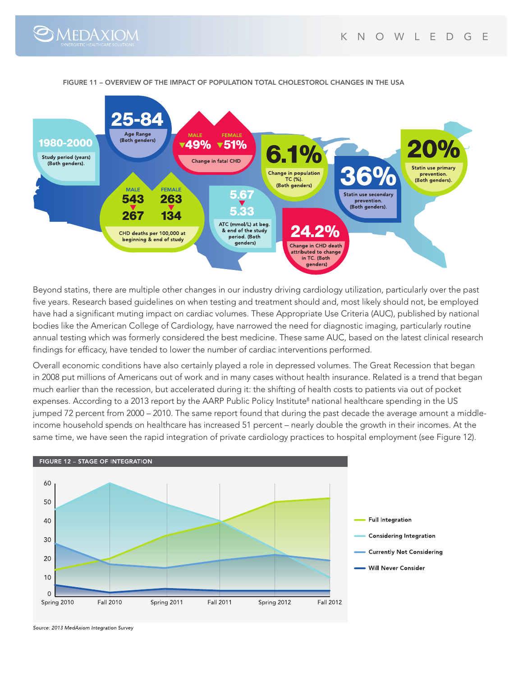



FIGURE 11 – OVERVIEW OF THE IMPACT OF POPULATION TOTAL CHOLESTOROL CHANGES IN the USA

Beyond statins, there are multiple other changes in our industry driving cardiology utilization, particularly over the past five years. Research based guidelines on when testing and treatment should and, most likely should not, be employed have had a significant muting impact on cardiac volumes. These Appropriate Use Criteria (AUC), published by national bodies like the American College of Cardiology, have narrowed the need for diagnostic imaging, particularly routine annual testing which was formerly considered the best medicine. These same AUC, based on the latest clinical research findings for efficacy, have tended to lower the number of cardiac interventions performed.

Overall economic conditions have also certainly played a role in depressed volumes. The Great Recession that began in 2008 put millions of Americans out of work and in many cases without health insurance. Related is a trend that began much earlier than the recession, but accelerated during it: the shifting of health costs to patients via out of pocket expenses. According to a 2013 report by the AARP Public Policy Institute<sup>8</sup> national healthcare spending in the US jumped 72 percent from 2000 – 2010. The same report found that during the past decade the average amount a middleincome household spends on healthcare has increased 51 percent – nearly double the growth in their incomes. At the same time, we have seen the rapid integration of private cardiology practices to hospital employment (see Figure 12).



Source: 2013 MedAxiom Integration Survey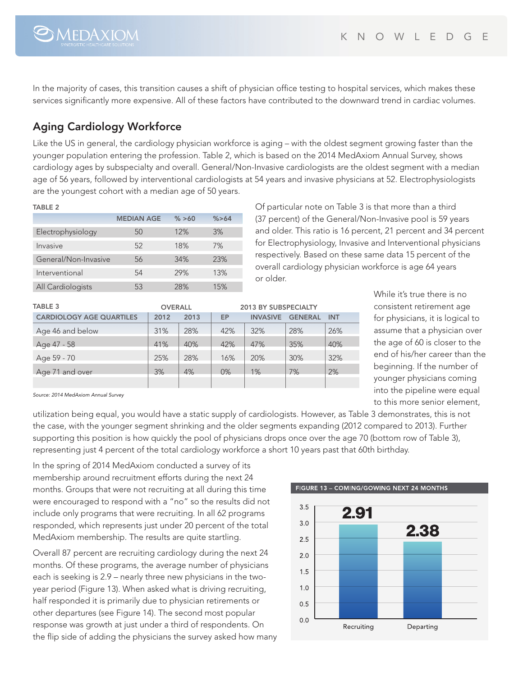$\bigcirc$ MEDAXIOM

In the majority of cases, this transition causes a shift of physician office testing to hospital services, which makes these services significantly more expensive. All of these factors have contributed to the downward trend in cardiac volumes.

## Aging Cardiology Workforce

Like the US in general, the cardiology physician workforce is aging – with the oldest segment growing faster than the younger population entering the profession. Table 2, which is based on the 2014 MedAxiom Annual Survey, shows cardiology ages by subspecialty and overall. General/Non-Invasive cardiologists are the oldest segment with a median age of 56 years, followed by interventional cardiologists at 54 years and invasive physicians at 52. Electrophysiologists are the youngest cohort with a median age of 50 years.

#### TABLE 2

|                      | <b>MEDIAN AGE</b> | % > 60 | % > 64 |
|----------------------|-------------------|--------|--------|
| Electrophysiology    | 50                | 12%    | 3%     |
| Invasive             | 52                | 18%    | 7%     |
| General/Non-Invasive | 56                | 34%    | 23%    |
| Interventional       | 54                | 29%    | 13%    |
| All Cardiologists    | 53                | 28%    | 15%    |

Of particular note on Table 3 is that more than a third (37 percent) of the General/Non-Invasive pool is 59 years and older. This ratio is 16 percent, 21 percent and 34 percent for Electrophysiology, Invasive and Interventional physicians respectively. Based on these same data 15 percent of the overall cardiology physician workforce is age 64 years or older.

| <b>TABLE 3</b>                  | <b>OVERALL</b> |      | <b>2013 BY SUBSPECIALTY</b> |                 |                |            |
|---------------------------------|----------------|------|-----------------------------|-----------------|----------------|------------|
| <b>CARDIOLOGY AGE QUARTILES</b> | 2012           | 2013 | EP                          | <b>INVASIVE</b> | <b>GENERAL</b> | <b>INT</b> |
| Age 46 and below                | 31%            | 28%  | 42%                         | 32%             | 28%            | 26%        |
| Age 47 - 58                     | 41%            | 40%  | 42%                         | 47%             | 35%            | 40%        |
| Age 59 - 70                     | 25%            | 28%  | 16%                         | 20%             | 30%            | 32%        |
| Age 71 and over                 | 3%             | 4%   | 0%                          | 1%              | 7%             | 2%         |
|                                 |                |      |                             |                 |                |            |

While it's true there is no consistent retirement age for physicians, it is logical to assume that a physician over the age of 60 is closer to the end of his/her career than the beginning. If the number of younger physicians coming into the pipeline were equal to this more senior element,

*Source: 2014 MedAxiom Annual Survey*

utilization being equal, you would have a static supply of cardiologists. However, as Table 3 demonstrates, this is not the case, with the younger segment shrinking and the older segments expanding (2012 compared to 2013). Further supporting this position is how quickly the pool of physicians drops once over the age 70 (bottom row of Table 3), representing just 4 percent of the total cardiology workforce a short 10 years past that 60th birthday.

In the spring of 2014 MedAxiom conducted a survey of its membership around recruitment efforts during the next 24 months. Groups that were not recruiting at all during this time were encouraged to respond with a "no" so the results did not include only programs that were recruiting. In all 62 programs responded, which represents just under 20 percent of the total MedAxiom membership. The results are quite startling.

Overall 87 percent are recruiting cardiology during the next 24 months. Of these programs, the average number of physicians each is seeking is 2.9 – nearly three new physicians in the twoyear period (Figure 13). When asked what is driving recruiting, half responded it is primarily due to physician retirements or other departures (see Figure 14). The second most popular response was growth at just under a third of respondents. On the flip side of adding the physicians the survey asked how many

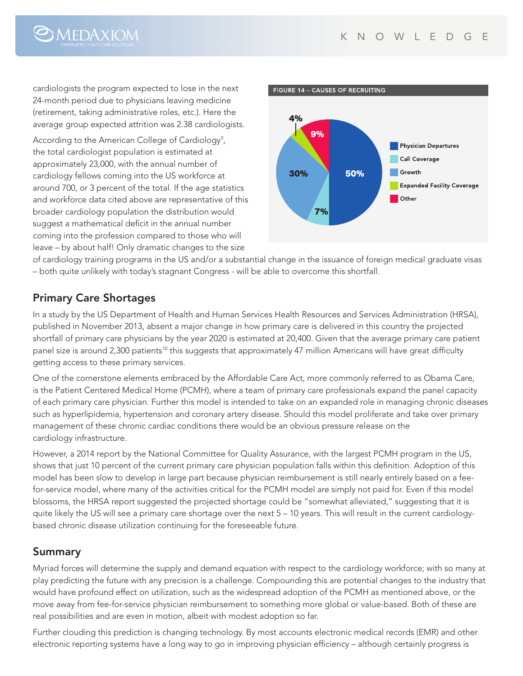

cardiologists the program expected to lose in the next 24-month period due to physicians leaving medicine (retirement, taking administrative roles, etc.). Here the average group expected attrition was 2.38 cardiologists.

According to the American College of Cardiology<sup>9</sup>, the total cardiologist population is estimated at approximately 23,000, with the annual number of cardiology fellows coming into the US workforce at around 700, or 3 percent of the total. If the age statistics and workforce data cited above are representative of this broader cardiology population the distribution would suggest a mathematical deficit in the annual number coming into the profession compared to those who will leave – by about half! Only dramatic changes to the size



of cardiology training programs in the US and/or a substantial change in the issuance of foreign medical graduate visas – both quite unlikely with today's stagnant Congress - will be able to overcome this shortfall.

### Primary Care Shortages

In a study by the US Department of Health and Human Services Health Resources and Services Administration (HRSA), published in November 2013, absent a major change in how primary care is delivered in this country the projected shortfall of primary care physicians by the year 2020 is estimated at 20,400. Given that the average primary care patient panel size is around 2,300 patients<sup>10</sup> this suggests that approximately 47 million Americans will have great difficulty getting access to these primary services.

One of the cornerstone elements embraced by the Affordable Care Act, more commonly referred to as Obama Care, is the Patient Centered Medical Home (PCMH), where a team of primary care professionals expand the panel capacity of each primary care physician. Further this model is intended to take on an expanded role in managing chronic diseases such as hyperlipidemia, hypertension and coronary artery disease. Should this model proliferate and take over primary management of these chronic cardiac conditions there would be an obvious pressure release on the cardiology infrastructure.

However, a 2014 report by the National Committee for Quality Assurance, with the largest PCMH program in the US, shows that just 10 percent of the current primary care physician population falls within this definition. Adoption of this model has been slow to develop in large part because physician reimbursement is still nearly entirely based on a feefor-service model, where many of the activities critical for the PCMH model are simply not paid for. Even if this model blossoms, the HRSA report suggested the projected shortage could be "somewhat alleviated," suggesting that it is quite likely the US will see a primary care shortage over the next 5 – 10 years. This will result in the current cardiologybased chronic disease utilization continuing for the foreseeable future.

### Summary

Myriad forces will determine the supply and demand equation with respect to the cardiology workforce; with so many at play predicting the future with any precision is a challenge. Compounding this are potential changes to the industry that would have profound effect on utilization, such as the widespread adoption of the PCMH as mentioned above, or the move away from fee-for-service physician reimbursement to something more global or value-based. Both of these are real possibilities and are even in motion, albeit with modest adoption so far.

Further clouding this prediction is changing technology. By most accounts electronic medical records (EMR) and other electronic reporting systems have a long way to go in improving physician efficiency – although certainly progress is